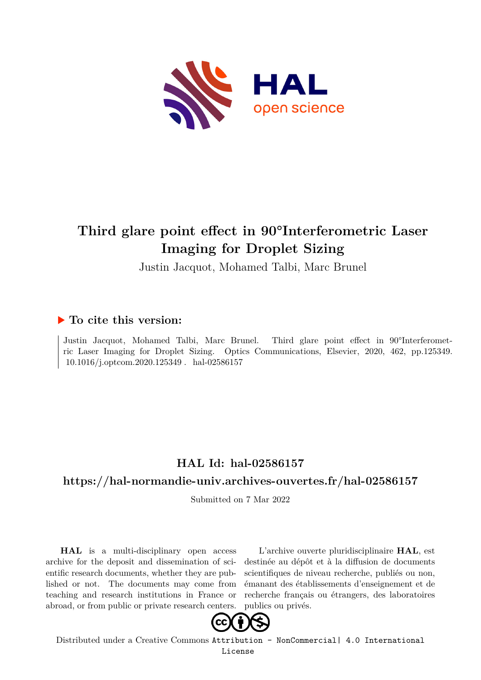

# **Third glare point effect in 90°Interferometric Laser Imaging for Droplet Sizing**

Justin Jacquot, Mohamed Talbi, Marc Brunel

# **To cite this version:**

Justin Jacquot, Mohamed Talbi, Marc Brunel. Third glare point effect in 90°Interferometric Laser Imaging for Droplet Sizing. Optics Communications, Elsevier, 2020, 462, pp.125349.  $10.1016/j.$ optcom.2020.125349 . hal-02586157

# **HAL Id: hal-02586157**

# **<https://hal-normandie-univ.archives-ouvertes.fr/hal-02586157>**

Submitted on 7 Mar 2022

**HAL** is a multi-disciplinary open access archive for the deposit and dissemination of scientific research documents, whether they are published or not. The documents may come from teaching and research institutions in France or abroad, or from public or private research centers.

L'archive ouverte pluridisciplinaire **HAL**, est destinée au dépôt et à la diffusion de documents scientifiques de niveau recherche, publiés ou non, émanant des établissements d'enseignement et de recherche français ou étrangers, des laboratoires publics ou privés.



Distributed under a Creative Commons [Attribution - NonCommercial| 4.0 International](http://creativecommons.org/licenses/by-nc/4.0/) [License](http://creativecommons.org/licenses/by-nc/4.0/)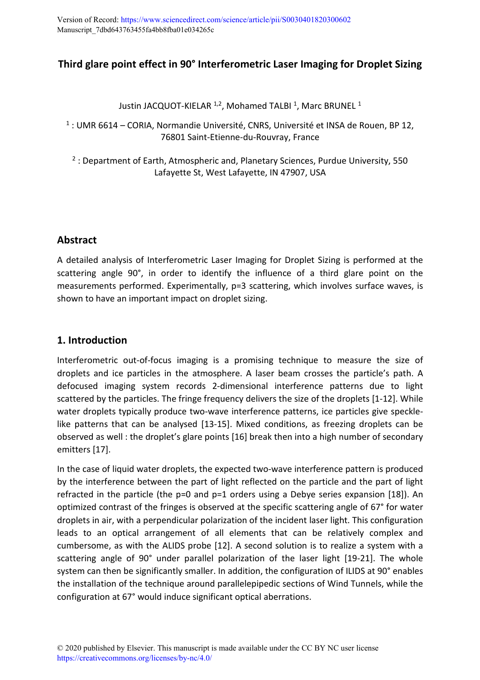# **Third glare point effect in 90° Interferometric Laser Imaging for Droplet Sizing**

Justin JACQUOT-KIELAR <sup>1,2</sup>, Mohamed TALBI <sup>1</sup>, Marc BRUNEL <sup>1</sup>

<sup>1</sup> : UMR 6614 – CORIA, Normandie Université, CNRS, Université et INSA de Rouen, BP 12, 76801 Saint-Etienne-du-Rouvray, France

<sup>2</sup> : Department of Earth, Atmospheric and, Planetary Sciences, Purdue University, 550 Lafayette St, West Lafayette, IN 47907, USA

## **Abstract**

A detailed analysis of Interferometric Laser Imaging for Droplet Sizing is performed at the scattering angle 90°, in order to identify the influence of a third glare point on the measurements performed. Experimentally, p=3 scattering, which involves surface waves, is shown to have an important impact on droplet sizing.

## **1. Introduction**

Interferometric out-of-focus imaging is a promising technique to measure the size of droplets and ice particles in the atmosphere. A laser beam crosses the particle's path. A defocused imaging system records 2-dimensional interference patterns due to light scattered by the particles. The fringe frequency delivers the size of the droplets [1-12]. While water droplets typically produce two-wave interference patterns, ice particles give specklelike patterns that can be analysed [13-15]. Mixed conditions, as freezing droplets can be observed as well : the droplet's glare points [16] break then into a high number of secondary emitters [17].

In the case of liquid water droplets, the expected two-wave interference pattern is produced by the interference between the part of light reflected on the particle and the part of light refracted in the particle (the p=0 and p=1 orders using a Debye series expansion [18]). An optimized contrast of the fringes is observed at the specific scattering angle of 67° for water droplets in air, with a perpendicular polarization of the incident laser light. This configuration leads to an optical arrangement of all elements that can be relatively complex and cumbersome, as with the ALIDS probe [12]. A second solution is to realize a system with a scattering angle of 90° under parallel polarization of the laser light [19-21]. The whole system can then be significantly smaller. In addition, the configuration of ILIDS at 90° enables the installation of the technique around parallelepipedic sections of Wind Tunnels, while the configuration at 67° would induce significant optical aberrations.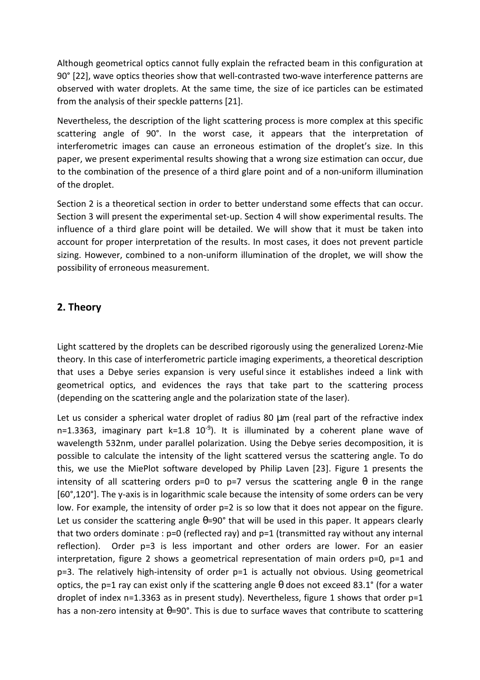Although geometrical optics cannot fully explain the refracted beam in this configuration at 90° [22], wave optics theories show that well-contrasted two-wave interference patterns are observed with water droplets. At the same time, the size of ice particles can be estimated from the analysis of their speckle patterns [21].

Nevertheless, the description of the light scattering process is more complex at this specific scattering angle of 90°. In the worst case, it appears that the interpretation of interferometric images can cause an erroneous estimation of the droplet's size. In this paper, we present experimental results showing that a wrong size estimation can occur, due to the combination of the presence of a third glare point and of a non-uniform illumination of the droplet.

Section 2 is a theoretical section in order to better understand some effects that can occur. Section 3 will present the experimental set-up. Section 4 will show experimental results. The influence of a third glare point will be detailed. We will show that it must be taken into account for proper interpretation of the results. In most cases, it does not prevent particle sizing. However, combined to a non-uniform illumination of the droplet, we will show the possibility of erroneous measurement.

## **2. Theory**

Light scattered by the droplets can be described rigorously using the generalized Lorenz-Mie theory. In this case of interferometric particle imaging experiments, a theoretical description that uses a Debye series expansion is very useful since it establishes indeed a link with geometrical optics, and evidences the rays that take part to the scattering process (depending on the scattering angle and the polarization state of the laser).

Let us consider a spherical water droplet of radius 80  $\mu$ m (real part of the refractive index n=1.3363, imaginary part  $k=1.8$  10<sup>-9</sup>). It is illuminated by a coherent plane wave of wavelength 532nm, under parallel polarization. Using the Debye series decomposition, it is possible to calculate the intensity of the light scattered versus the scattering angle. To do this, we use the MiePlot software developed by Philip Laven [23]. Figure 1 presents the intensity of all scattering orders p=0 to p=7 versus the scattering angle  $\theta$  in the range [60°,120°]. The y-axis is in logarithmic scale because the intensity of some orders can be very low. For example, the intensity of order  $p=2$  is so low that it does not appear on the figure. Let us consider the scattering angle  $\theta$ =90° that will be used in this paper. It appears clearly that two orders dominate :  $p=0$  (reflected ray) and  $p=1$  (transmitted ray without any internal reflection). Order p=3 is less important and other orders are lower. For an easier interpretation, figure 2 shows a geometrical representation of main orders p=0, p=1 and p=3. The relatively high-intensity of order p=1 is actually not obvious. Using geometrical optics, the p=1 ray can exist only if the scattering angle  $\theta$  does not exceed 83.1° (for a water droplet of index  $n=1.3363$  as in present study). Nevertheless, figure 1 shows that order  $p=1$ has a non-zero intensity at θ=90°. This is due to surface waves that contribute to scattering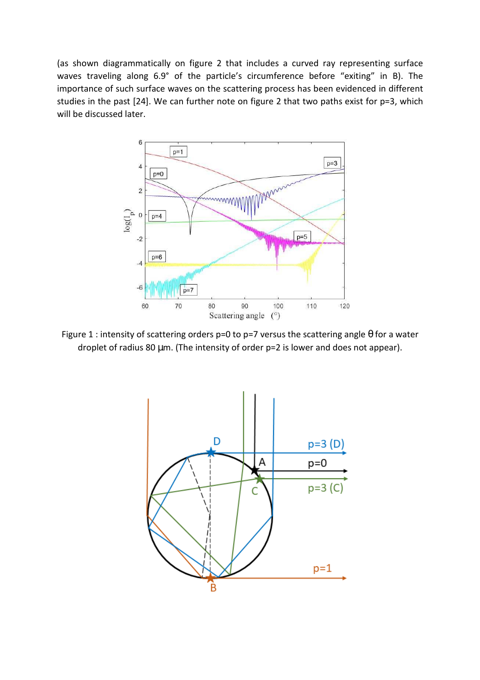(as shown diagrammatically on figure 2 that includes a curved ray representing surface waves traveling along 6.9° of the particle's circumference before "exiting" in B). The importance of such surface waves on the scattering process has been evidenced in different studies in the past [24]. We can further note on figure 2 that two paths exist for p=3, which will be discussed later.



Figure 1 : intensity of scattering orders p=0 to p=7 versus the scattering angle  $\theta$  for a water droplet of radius 80 µm. (The intensity of order p=2 is lower and does not appear).

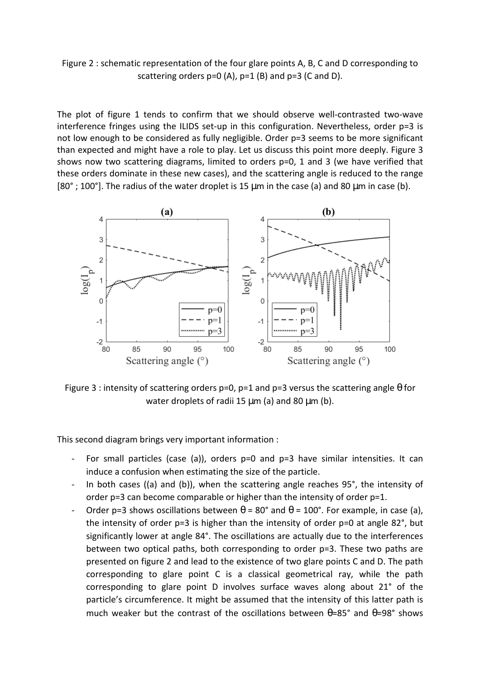Figure 2 : schematic representation of the four glare points A, B, C and D corresponding to scattering orders  $p=0$  (A),  $p=1$  (B) and  $p=3$  (C and D).

The plot of figure 1 tends to confirm that we should observe well-contrasted two-wave interference fringes using the ILIDS set-up in this configuration. Nevertheless, order p=3 is not low enough to be considered as fully negligible. Order p=3 seems to be more significant than expected and might have a role to play. Let us discuss this point more deeply. Figure 3 shows now two scattering diagrams, limited to orders p=0, 1 and 3 (we have verified that these orders dominate in these new cases), and the scattering angle is reduced to the range  $[80^\circ; 100^\circ]$ . The radius of the water droplet is 15  $\mu$ m in the case (a) and 80  $\mu$ m in case (b).



Figure 3 : intensity of scattering orders p=0, p=1 and p=3 versus the scattering angle  $\theta$  for water droplets of radii 15  $\mu$ m (a) and 80  $\mu$ m (b).

This second diagram brings very important information :

- For small particles (case (a)), orders p=0 and p=3 have similar intensities. It can induce a confusion when estimating the size of the particle.
- In both cases ((a) and (b)), when the scattering angle reaches 95°, the intensity of order p=3 can become comparable or higher than the intensity of order p=1.
- Order p=3 shows oscillations between  $\theta = 80^\circ$  and  $\theta = 100^\circ$ . For example, in case (a), the intensity of order p=3 is higher than the intensity of order p=0 at angle 82°, but significantly lower at angle 84°. The oscillations are actually due to the interferences between two optical paths, both corresponding to order p=3. These two paths are presented on figure 2 and lead to the existence of two glare points C and D. The path corresponding to glare point C is a classical geometrical ray, while the path corresponding to glare point D involves surface waves along about 21° of the particle's circumference. It might be assumed that the intensity of this latter path is much weaker but the contrast of the oscillations between  $\theta$ =85° and  $\theta$ =98° shows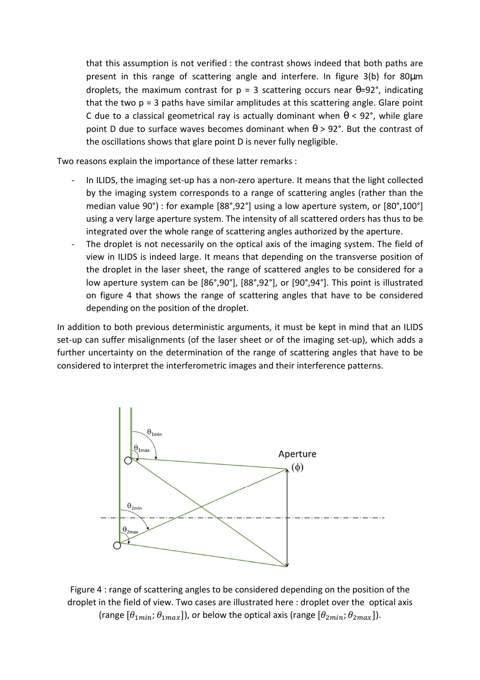that this assumption is not verified : the contrast shows indeed that both paths are present in this range of scattering angle and interfere. In figure 3(b) for 80µm droplets, the maximum contrast for  $p = 3$  scattering occurs near  $\theta = 92^\circ$ , indicating that the two  $p = 3$  paths have similar amplitudes at this scattering angle. Glare point C due to a classical geometrical ray is actually dominant when  $\theta$  < 92°, while glare point D due to surface waves becomes dominant when  $\theta$  > 92°. But the contrast of the oscillations shows that glare point D is never fully negligible.

Two reasons explain the importance of these latter remarks :

- In ILIDS, the imaging set-up has a non-zero aperture. It means that the light collected by the imaging system corresponds to a range of scattering angles (rather than the median value 90°) : for example [88°,92°] using a low aperture system, or [80°,100°] using a very large aperture system. The intensity of all scattered orders has thus to be integrated over the whole range of scattering angles authorized by the aperture.
- The droplet is not necessarily on the optical axis of the imaging system. The field of view in ILIDS is indeed large. It means that depending on the transverse position of the droplet in the laser sheet, the range of scattered angles to be considered for a low aperture system can be [86°,90°], [88°,92°], or [90°,94°]. This point is illustrated on figure 4 that shows the range of scattering angles that have to be considered depending on the position of the droplet.

In addition to both previous deterministic arguments, it must be kept in mind that an ILIDS set-up can suffer misalignments (of the laser sheet or of the imaging set-up), which adds a further uncertainty on the determination of the range of scattering angles that have to be considered to interpret the interferometric images and their interference patterns.



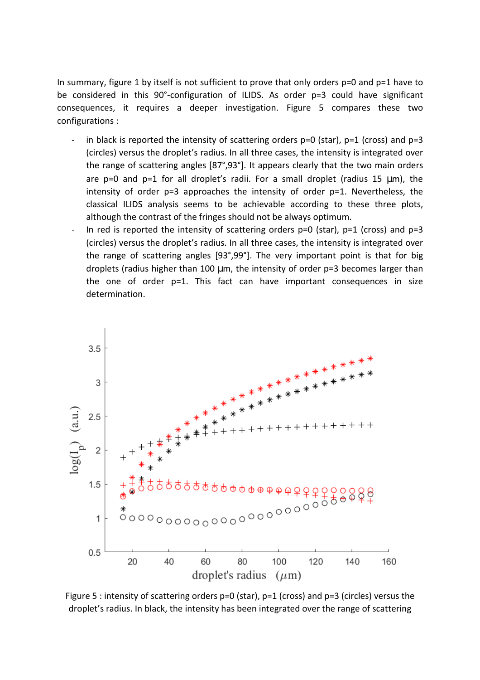In summary, figure 1 by itself is not sufficient to prove that only orders p=0 and p=1 have to be considered in this 90°-configuration of ILIDS. As order p=3 could have significant consequences, it requires a deeper investigation. Figure 5 compares these two configurations :

- in black is reported the intensity of scattering orders  $p=0$  (star),  $p=1$  (cross) and  $p=3$ (circles) versus the droplet's radius. In all three cases, the intensity is integrated over the range of scattering angles [87°,93°]. It appears clearly that the two main orders are  $p=0$  and  $p=1$  for all droplet's radii. For a small droplet (radius 15  $\mu$ m), the intensity of order p=3 approaches the intensity of order p=1. Nevertheless, the classical ILIDS analysis seems to be achievable according to these three plots, although the contrast of the fringes should not be always optimum.
- In red is reported the intensity of scattering orders  $p=0$  (star),  $p=1$  (cross) and  $p=3$ (circles) versus the droplet's radius. In all three cases, the intensity is integrated over the range of scattering angles [93°,99°]. The very important point is that for big droplets (radius higher than 100  $\mu$ m, the intensity of order  $p=3$  becomes larger than the one of order p=1. This fact can have important consequences in size determination.



Figure 5 : intensity of scattering orders p=0 (star), p=1 (cross) and p=3 (circles) versus the droplet's radius. In black, the intensity has been integrated over the range of scattering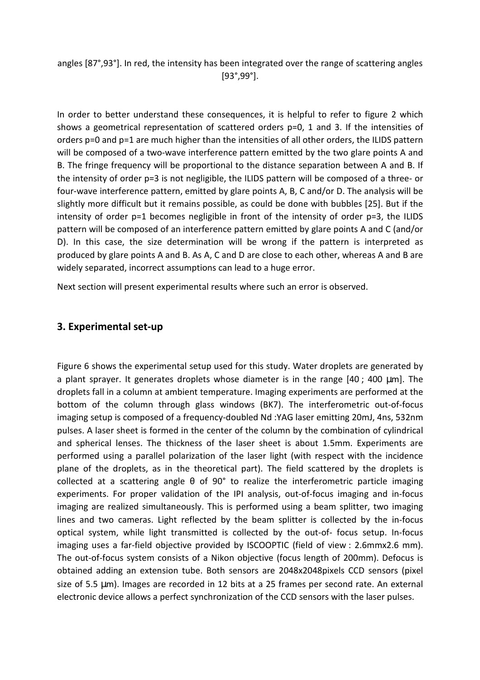angles [87°,93°]. In red, the intensity has been integrated over the range of scattering angles [93°,99°].

In order to better understand these consequences, it is helpful to refer to figure 2 which shows a geometrical representation of scattered orders p=0, 1 and 3. If the intensities of orders p=0 and p=1 are much higher than the intensities of all other orders, the ILIDS pattern will be composed of a two-wave interference pattern emitted by the two glare points A and B. The fringe frequency will be proportional to the distance separation between A and B. If the intensity of order p=3 is not negligible, the ILIDS pattern will be composed of a three- or four-wave interference pattern, emitted by glare points A, B, C and/or D. The analysis will be slightly more difficult but it remains possible, as could be done with bubbles [25]. But if the intensity of order p=1 becomes negligible in front of the intensity of order p=3, the ILIDS pattern will be composed of an interference pattern emitted by glare points A and C (and/or D). In this case, the size determination will be wrong if the pattern is interpreted as produced by glare points A and B. As A, C and D are close to each other, whereas A and B are widely separated, incorrect assumptions can lead to a huge error.

Next section will present experimental results where such an error is observed.

## **3. Experimental set-up**

Figure 6 shows the experimental setup used for this study. Water droplets are generated by a plant sprayer. It generates droplets whose diameter is in the range [40 ; 400 µm]. The droplets fall in a column at ambient temperature. Imaging experiments are performed at the bottom of the column through glass windows (BK7). The interferometric out-of-focus imaging setup is composed of a frequency-doubled Nd :YAG laser emitting 20mJ, 4ns, 532nm pulses. A laser sheet is formed in the center of the column by the combination of cylindrical and spherical lenses. The thickness of the laser sheet is about 1.5mm. Experiments are performed using a parallel polarization of the laser light (with respect with the incidence plane of the droplets, as in the theoretical part). The field scattered by the droplets is collected at a scattering angle θ of 90° to realize the interferometric particle imaging experiments. For proper validation of the IPI analysis, out-of-focus imaging and in-focus imaging are realized simultaneously. This is performed using a beam splitter, two imaging lines and two cameras. Light reflected by the beam splitter is collected by the in-focus optical system, while light transmitted is collected by the out-of- focus setup. In-focus imaging uses a far-field objective provided by ISCOOPTIC (field of view : 2.6mmx2.6 mm). The out-of-focus system consists of a Nikon objective (focus length of 200mm). Defocus is obtained adding an extension tube. Both sensors are 2048x2048pixels CCD sensors (pixel size of 5.5 µm). Images are recorded in 12 bits at a 25 frames per second rate. An external electronic device allows a perfect synchronization of the CCD sensors with the laser pulses.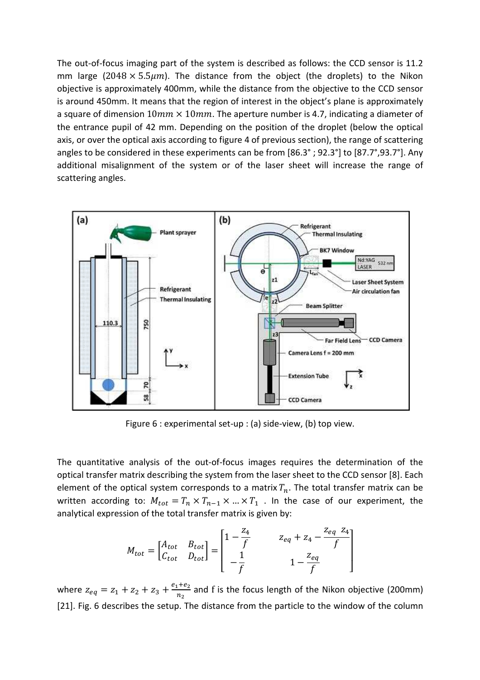The out-of-focus imaging part of the system is described as follows: the CCD sensor is 11.2 mm large (2048  $\times$  5.5 $\mu$ m). The distance from the object (the droplets) to the Nikon objective is approximately 400mm, while the distance from the objective to the CCD sensor is around 450mm. It means that the region of interest in the object's plane is approximately a square of dimension  $10mm \times 10mm$ . The aperture number is 4.7, indicating a diameter of the entrance pupil of 42 mm. Depending on the position of the droplet (below the optical axis, or over the optical axis according to figure 4 of previous section), the range of scattering angles to be considered in these experiments can be from [86.3° ; 92.3°] to [87.7°,93.7°]. Any additional misalignment of the system or of the laser sheet will increase the range of scattering angles.



Figure 6 : experimental set-up : (a) side-view, (b) top view.

The quantitative analysis of the out-of-focus images requires the determination of the optical transfer matrix describing the system from the laser sheet to the CCD sensor [8]. Each element of the optical system corresponds to a matrix  $T_n$ . The total transfer matrix can be written according to:  $M_{tot} = T_n \times T_{n-1} \times ... \times T_1$ . In the case of our experiment, the analytical expression of the total transfer matrix is given by:

$$
M_{tot} = \begin{bmatrix} A_{tot} & B_{tot} \\ C_{tot} & D_{tot} \end{bmatrix} = \begin{bmatrix} 1 - \frac{z_4}{f} & z_{eq} + z_4 - \frac{z_{eq} - z_4}{f} \\ -\frac{1}{f} & 1 - \frac{z_{eq}}{f} \end{bmatrix}
$$

where  $z_{eq} = z_1 + z_2 + z_3 + \frac{e_1 + e_2}{n_3}$  $\frac{1+\epsilon_2}{n_2}$  and f is the focus length of the Nikon objective (200mm) [21]. Fig. 6 describes the setup. The distance from the particle to the window of the column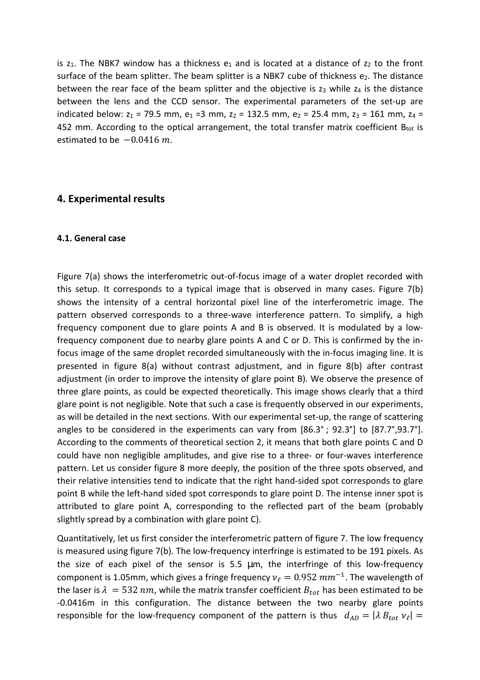is  $z_1$ . The NBK7 window has a thickness  $e_1$  and is located at a distance of  $z_2$  to the front surface of the beam splitter. The beam splitter is a NBK7 cube of thickness  $e_2$ . The distance between the rear face of the beam splitter and the objective is  $z_3$  while  $z_4$  is the distance between the lens and the CCD sensor. The experimental parameters of the set-up are indicated below:  $z_1$  = 79.5 mm,  $e_1$  =3 mm,  $z_2$  = 132.5 mm,  $e_2$  = 25.4 mm,  $z_3$  = 161 mm,  $z_4$  = 452 mm. According to the optical arrangement, the total transfer matrix coefficient  $B_{tot}$  is estimated to be  $-0.0416$   $m$ .

## **4. Experimental results**

#### **4.1. General case**

Figure 7(a) shows the interferometric out-of-focus image of a water droplet recorded with this setup. It corresponds to a typical image that is observed in many cases. Figure 7(b) shows the intensity of a central horizontal pixel line of the interferometric image. The pattern observed corresponds to a three-wave interference pattern. To simplify, a high frequency component due to glare points A and B is observed. It is modulated by a lowfrequency component due to nearby glare points A and C or D. This is confirmed by the infocus image of the same droplet recorded simultaneously with the in-focus imaging line. It is presented in figure 8(a) without contrast adjustment, and in figure 8(b) after contrast adjustment (in order to improve the intensity of glare point B). We observe the presence of three glare points, as could be expected theoretically. This image shows clearly that a third glare point is not negligible. Note that such a case is frequently observed in our experiments, as will be detailed in the next sections. With our experimental set-up, the range of scattering angles to be considered in the experiments can vary from [86.3° ; 92.3°] to [87.7°,93.7°]. According to the comments of theoretical section 2, it means that both glare points C and D could have non negligible amplitudes, and give rise to a three- or four-waves interference pattern. Let us consider figure 8 more deeply, the position of the three spots observed, and their relative intensities tend to indicate that the right hand-sided spot corresponds to glare point B while the left-hand sided spot corresponds to glare point D. The intense inner spot is attributed to glare point A, corresponding to the reflected part of the beam (probably slightly spread by a combination with glare point C).

Quantitatively, let us first consider the interferometric pattern of figure 7. The low frequency is measured using figure 7(b). The low-frequency interfringe is estimated to be 191 pixels. As the size of each pixel of the sensor is 5.5 µm, the interfringe of this low-frequency component is 1.05mm, which gives a fringe frequency  $v_\ell = 0.952 \ mm^{-1}$ . The wavelength of the laser is  $\lambda = 532$  nm, while the matrix transfer coefficient  $B_{tot}$  has been estimated to be -0.0416m in this configuration. The distance between the two nearby glare points responsible for the low-frequency component of the pattern is thus  $d_{AD} = |\lambda B_{tot} v_{\ell}| =$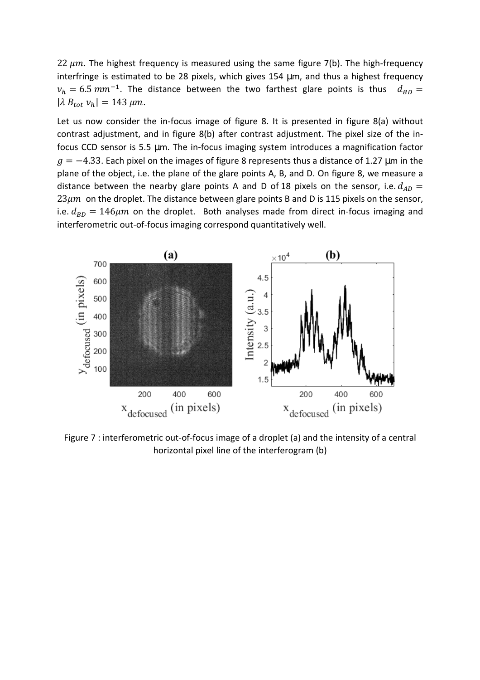22  $\mu$ m. The highest frequency is measured using the same figure 7(b). The high-frequency interfringe is estimated to be 28 pixels, which gives 154 µm, and thus a highest frequency  $v_h = 6.5 \, mm^{-1}$ . The distance between the two farthest glare points is thus  $d_{BD} =$  $|\lambda B_{tot} v_h| = 143 \,\mu m.$ 

Let us now consider the in-focus image of figure 8. It is presented in figure 8(a) without contrast adjustment, and in figure 8(b) after contrast adjustment. The pixel size of the infocus CCD sensor is 5.5 µm. The in-focus imaging system introduces a magnification factor  $g = -4.33$ . Each pixel on the images of figure 8 represents thus a distance of 1.27 µm in the plane of the object, i.e. the plane of the glare points A, B, and D. On figure 8, we measure a distance between the nearby glare points A and D of 18 pixels on the sensor, i.e.  $d_{AD}$  =  $23 \mu m$  on the droplet. The distance between glare points B and D is 115 pixels on the sensor, i.e.  $d_{BD} = 146 \mu m$  on the droplet. Both analyses made from direct in-focus imaging and interferometric out-of-focus imaging correspond quantitatively well.



Figure 7 : interferometric out-of-focus image of a droplet (a) and the intensity of a central horizontal pixel line of the interferogram (b)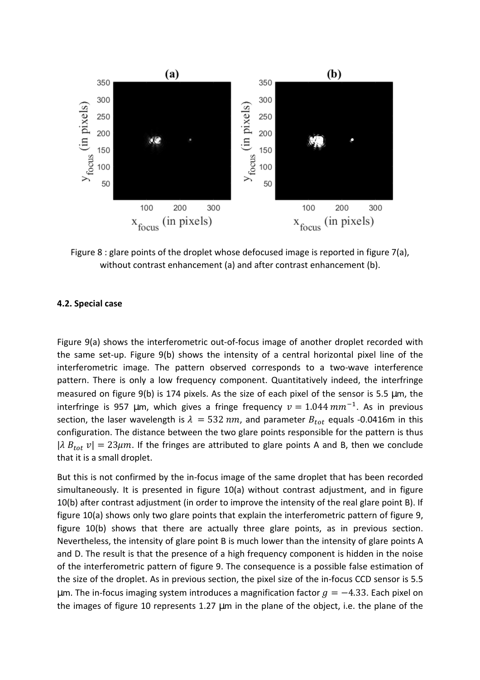

Figure 8 : glare points of the droplet whose defocused image is reported in figure 7(a), without contrast enhancement (a) and after contrast enhancement (b).

#### **4.2. Special case**

Figure 9(a) shows the interferometric out-of-focus image of another droplet recorded with the same set-up. Figure 9(b) shows the intensity of a central horizontal pixel line of the interferometric image. The pattern observed corresponds to a two-wave interference pattern. There is only a low frequency component. Quantitatively indeed, the interfringe measured on figure 9(b) is 174 pixels. As the size of each pixel of the sensor is 5.5 µm, the interfringe is 957 µm, which gives a fringe frequency  $v = 1.044$   $mm^{-1}$ . As in previous section, the laser wavelength is  $\lambda = 532$  nm, and parameter  $B_{tot}$  equals -0.0416m in this configuration. The distance between the two glare points responsible for the pattern is thus  $|\lambda B_{tot} v| = 23 \mu m$ . If the fringes are attributed to glare points A and B, then we conclude that it is a small droplet.

But this is not confirmed by the in-focus image of the same droplet that has been recorded simultaneously. It is presented in figure 10(a) without contrast adjustment, and in figure 10(b) after contrast adjustment (in order to improve the intensity of the real glare point B). If figure 10(a) shows only two glare points that explain the interferometric pattern of figure 9, figure 10(b) shows that there are actually three glare points, as in previous section. Nevertheless, the intensity of glare point B is much lower than the intensity of glare points A and D. The result is that the presence of a high frequency component is hidden in the noise of the interferometric pattern of figure 9. The consequence is a possible false estimation of the size of the droplet. As in previous section, the pixel size of the in-focus CCD sensor is 5.5 µm. The in-focus imaging system introduces a magnification factor  $g = -4.33$ . Each pixel on the images of figure 10 represents 1.27 µm in the plane of the object, i.e. the plane of the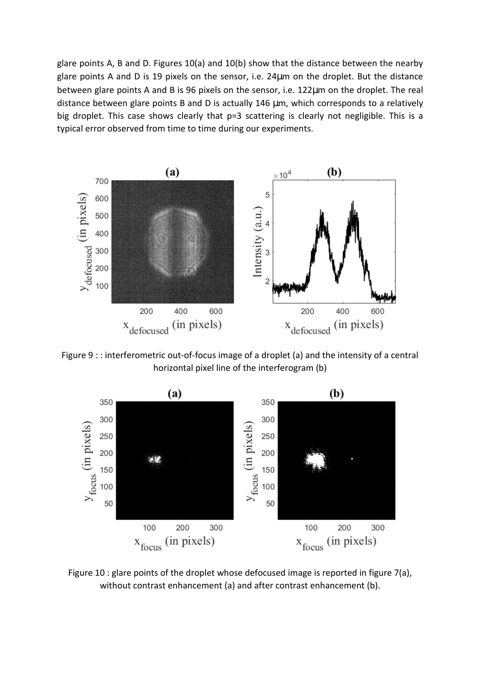glare points A, B and D. Figures 10(a) and 10(b) show that the distance between the nearby glare points A and D is 19 pixels on the sensor, i.e. 24µm on the droplet. But the distance between glare points A and B is 96 pixels on the sensor, i.e. 122µm on the droplet. The real distance between glare points B and D is actually 146 µm, which corresponds to a relatively big droplet. This case shows clearly that p=3 scattering is clearly not negligible. This is a typical error observed from time to time during our experiments.



Figure 9 : : interferometric out-of-focus image of a droplet (a) and the intensity of a central horizontal pixel line of the interferogram (b)



Figure 10 : glare points of the droplet whose defocused image is reported in figure 7(a), without contrast enhancement (a) and after contrast enhancement (b).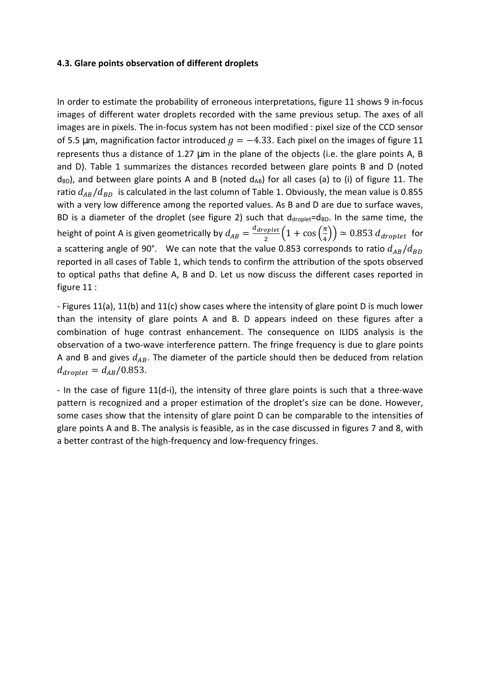#### **4.3. Glare points observation of different droplets**

In order to estimate the probability of erroneous interpretations, figure 11 shows 9 in-focus images of different water droplets recorded with the same previous setup. The axes of all images are in pixels. The in-focus system has not been modified : pixel size of the CCD sensor of 5.5 µm, magnification factor introduced  $q = -4.33$ . Each pixel on the images of figure 11 represents thus a distance of 1.27 µm in the plane of the objects (i.e. the glare points A, B and D). Table 1 summarizes the distances recorded between glare points B and D (noted  $d_{BD}$ ), and between glare points A and B (noted  $d_{AB}$ ) for all cases (a) to (i) of figure 11. The ratio  $d_{AB}/d_{BD}$  is calculated in the last column of Table 1. Obviously, the mean value is 0.855 with a very low difference among the reported values. As B and D are due to surface waves, BD is a diameter of the droplet (see figure 2) such that  $d_{droplet} = d_{BD}$ . In the same time, the height of point A is given geometrically by  $d_{AB} = \frac{d_{droplet}}{2}$  $\frac{N_{optet}}{2} \left( 1 + \cos\left(\frac{\pi}{4}\right) \right) \simeq 0.853 d_{droplet}$  for a scattering angle of 90°. We can note that the value 0.853 corresponds to ratio  $d_{AB}/d_{BD}$ reported in all cases of Table 1, which tends to confirm the attribution of the spots observed to optical paths that define A, B and D. Let us now discuss the different cases reported in figure 11 :

- Figures 11(a), 11(b) and 11(c) show cases where the intensity of glare point D is much lower than the intensity of glare points A and B. D appears indeed on these figures after a combination of huge contrast enhancement. The consequence on ILIDS analysis is the observation of a two-wave interference pattern. The fringe frequency is due to glare points A and B and gives  $d_{AB}$ . The diameter of the particle should then be deduced from relation  $d_{droplet} = d_{AB}/0.853$ .

- In the case of figure 11(d-i), the intensity of three glare points is such that a three-wave pattern is recognized and a proper estimation of the droplet's size can be done. However, some cases show that the intensity of glare point D can be comparable to the intensities of glare points A and B. The analysis is feasible, as in the case discussed in figures 7 and 8, with a better contrast of the high-frequency and low-frequency fringes.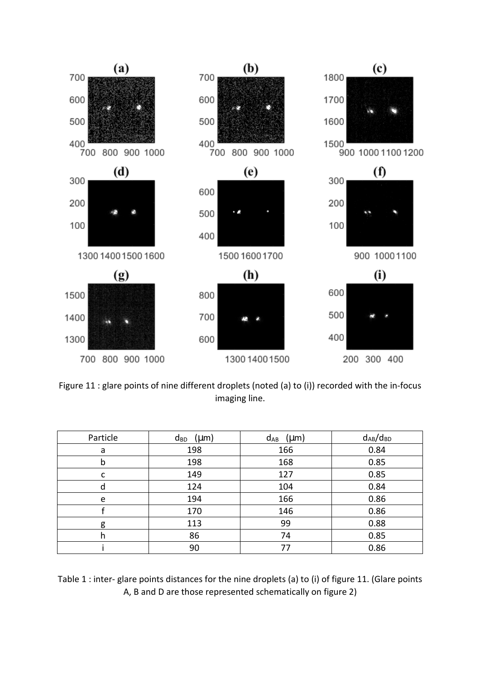

Figure 11 : glare points of nine different droplets (noted (a) to (i)) recorded with the in-focus imaging line.

| Particle | $d_{BD}$ (µm) | $d_{AB}$ (µm) | $d_{AB}/d_{BD}$ |
|----------|---------------|---------------|-----------------|
| a        | 198           | 166           | 0.84            |
| b        | 198           | 168           | 0.85            |
| c        | 149           | 127           | 0.85            |
| a        | 124           | 104           | 0.84            |
| e        | 194           | 166           | 0.86            |
|          | 170           | 146           | 0.86            |
| g        | 113           | 99            | 0.88            |
|          | 86            | 74            | 0.85            |
|          | 90            | 77            | 0.86            |

Table 1 : inter- glare points distances for the nine droplets (a) to (i) of figure 11. (Glare points A, B and D are those represented schematically on figure 2)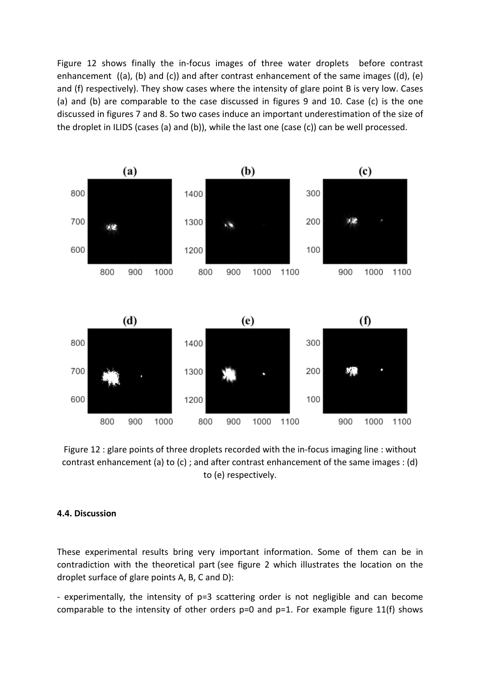Figure 12 shows finally the in-focus images of three water droplets before contrast enhancement ((a), (b) and (c)) and after contrast enhancement of the same images ((d), (e) and (f) respectively). They show cases where the intensity of glare point B is very low. Cases (a) and (b) are comparable to the case discussed in figures 9 and 10. Case (c) is the one discussed in figures 7 and 8. So two cases induce an important underestimation of the size of the droplet in ILIDS (cases (a) and (b)), while the last one (case (c)) can be well processed.



Figure 12 : glare points of three droplets recorded with the in-focus imaging line : without contrast enhancement (a) to (c) ; and after contrast enhancement of the same images : (d) to (e) respectively.

#### **4.4. Discussion**

These experimental results bring very important information. Some of them can be in contradiction with the theoretical part (see figure 2 which illustrates the location on the droplet surface of glare points A, B, C and D):

- experimentally, the intensity of p=3 scattering order is not negligible and can become comparable to the intensity of other orders  $p=0$  and  $p=1$ . For example figure 11(f) shows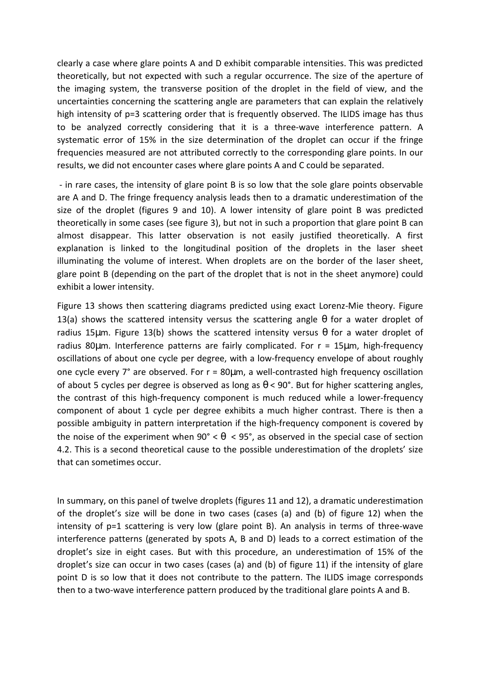clearly a case where glare points A and D exhibit comparable intensities. This was predicted theoretically, but not expected with such a regular occurrence. The size of the aperture of the imaging system, the transverse position of the droplet in the field of view, and the uncertainties concerning the scattering angle are parameters that can explain the relatively high intensity of p=3 scattering order that is frequently observed. The ILIDS image has thus to be analyzed correctly considering that it is a three-wave interference pattern. A systematic error of 15% in the size determination of the droplet can occur if the fringe frequencies measured are not attributed correctly to the corresponding glare points. In our results, we did not encounter cases where glare points A and C could be separated.

 - in rare cases, the intensity of glare point B is so low that the sole glare points observable are A and D. The fringe frequency analysis leads then to a dramatic underestimation of the size of the droplet (figures 9 and 10). A lower intensity of glare point B was predicted theoretically in some cases (see figure 3), but not in such a proportion that glare point B can almost disappear. This latter observation is not easily justified theoretically. A first explanation is linked to the longitudinal position of the droplets in the laser sheet illuminating the volume of interest. When droplets are on the border of the laser sheet, glare point B (depending on the part of the droplet that is not in the sheet anymore) could exhibit a lower intensity.

Figure 13 shows then scattering diagrams predicted using exact Lorenz-Mie theory. Figure 13(a) shows the scattered intensity versus the scattering angle  $\theta$  for a water droplet of radius 15µm. Figure 13(b) shows the scattered intensity versus  $\theta$  for a water droplet of radius 80 $\mu$ m. Interference patterns are fairly complicated. For  $r = 15 \mu$ m, high-frequency oscillations of about one cycle per degree, with a low-frequency envelope of about roughly one cycle every 7° are observed. For r = 80µm, a well-contrasted high frequency oscillation of about 5 cycles per degree is observed as long as  $\theta$  < 90°. But for higher scattering angles, the contrast of this high-frequency component is much reduced while a lower-frequency component of about 1 cycle per degree exhibits a much higher contrast. There is then a possible ambiguity in pattern interpretation if the high-frequency component is covered by the noise of the experiment when  $90^{\circ} < \theta < 95^{\circ}$ , as observed in the special case of section 4.2. This is a second theoretical cause to the possible underestimation of the droplets' size that can sometimes occur.

In summary, on this panel of twelve droplets (figures 11 and 12), a dramatic underestimation of the droplet's size will be done in two cases (cases (a) and (b) of figure 12) when the intensity of p=1 scattering is very low (glare point B). An analysis in terms of three-wave interference patterns (generated by spots A, B and D) leads to a correct estimation of the droplet's size in eight cases. But with this procedure, an underestimation of 15% of the droplet's size can occur in two cases (cases (a) and (b) of figure 11) if the intensity of glare point D is so low that it does not contribute to the pattern. The ILIDS image corresponds then to a two-wave interference pattern produced by the traditional glare points A and B.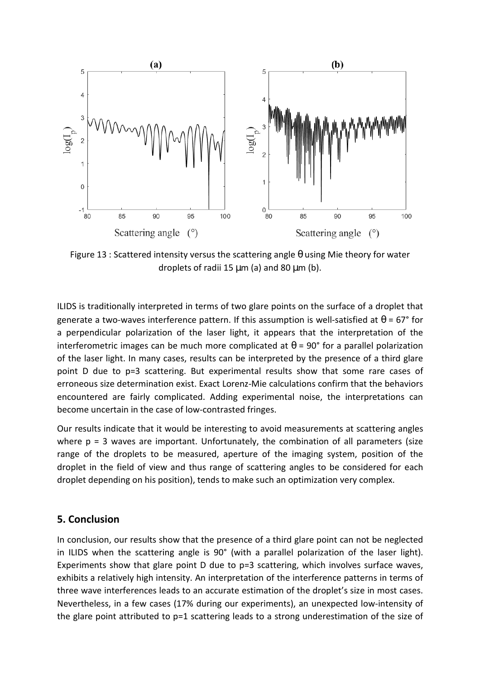

Figure 13 : Scattered intensity versus the scattering angle  $\theta$  using Mie theory for water droplets of radii 15  $\mu$ m (a) and 80  $\mu$ m (b).

ILIDS is traditionally interpreted in terms of two glare points on the surface of a droplet that generate a two-waves interference pattern. If this assumption is well-satisfied at  $\theta$  = 67° for a perpendicular polarization of the laser light, it appears that the interpretation of the interferometric images can be much more complicated at  $\theta$  = 90° for a parallel polarization of the laser light. In many cases, results can be interpreted by the presence of a third glare point D due to p=3 scattering. But experimental results show that some rare cases of erroneous size determination exist. Exact Lorenz-Mie calculations confirm that the behaviors encountered are fairly complicated. Adding experimental noise, the interpretations can become uncertain in the case of low-contrasted fringes.

Our results indicate that it would be interesting to avoid measurements at scattering angles where  $p = 3$  waves are important. Unfortunately, the combination of all parameters (size range of the droplets to be measured, aperture of the imaging system, position of the droplet in the field of view and thus range of scattering angles to be considered for each droplet depending on his position), tends to make such an optimization very complex.

## **5. Conclusion**

In conclusion, our results show that the presence of a third glare point can not be neglected in ILIDS when the scattering angle is 90° (with a parallel polarization of the laser light). Experiments show that glare point D due to p=3 scattering, which involves surface waves, exhibits a relatively high intensity. An interpretation of the interference patterns in terms of three wave interferences leads to an accurate estimation of the droplet's size in most cases. Nevertheless, in a few cases (17% during our experiments), an unexpected low-intensity of the glare point attributed to p=1 scattering leads to a strong underestimation of the size of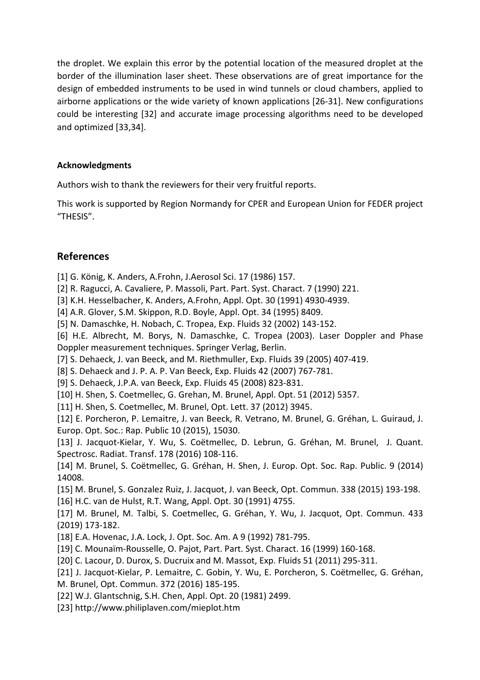the droplet. We explain this error by the potential location of the measured droplet at the border of the illumination laser sheet. These observations are of great importance for the design of embedded instruments to be used in wind tunnels or cloud chambers, applied to airborne applications or the wide variety of known applications [26-31]. New configurations could be interesting [32] and accurate image processing algorithms need to be developed and optimized [33,34].

## **Acknowledgments**

Authors wish to thank the reviewers for their very fruitful reports.

This work is supported by Region Normandy for CPER and European Union for FEDER project "THESIS".

## **References**

[1] G. König, K. Anders, A.Frohn, J.Aerosol Sci. 17 (1986) 157.

[2] R. Ragucci, A. Cavaliere, P. Massoli, Part. Part. Syst. Charact. 7 (1990) 221.

[3] K.H. Hesselbacher, K. Anders, A.Frohn, Appl. Opt. 30 (1991) 4930-4939.

[4] A.R. Glover, S.M. Skippon, R.D. Boyle, Appl. Opt. 34 (1995) 8409.

[5] N. Damaschke, H. Nobach, C. Tropea, Exp. Fluids 32 (2002) 143-152.

[6] H.E. Albrecht, M. Borys, N. Damaschke, C. Tropea (2003). Laser Doppler and Phase Doppler measurement techniques. Springer Verlag, Berlin.

[7] S. Dehaeck, J. van Beeck, and M. Riethmuller, Exp. Fluids 39 (2005) 407-419.

[8] S. Dehaeck and J. P. A. P. Van Beeck, Exp. Fluids 42 (2007) 767-781.

[9] S. Dehaeck, J.P.A. van Beeck, Exp. Fluids 45 (2008) 823-831.

[10] H. Shen, S. Coetmellec, G. Grehan, M. Brunel, Appl. Opt. 51 (2012) 5357.

[11] H. Shen, S. Coetmellec, M. Brunel, Opt. Lett. 37 (2012) 3945.

[12] E. Porcheron, P. Lemaitre, J. van Beeck, R. Vetrano, M. Brunel, G. Gréhan, L. Guiraud, J. Europ. Opt. Soc.: Rap. Public 10 (2015), 15030.

[13] J. Jacquot-Kielar, Y. Wu, S. Coëtmellec, D. Lebrun, G. Gréhan, M. Brunel, J. Quant. Spectrosc. Radiat. Transf. 178 (2016) 108-116.

[14] M. Brunel, S. Coëtmellec, G. Gréhan, H. Shen, J. Europ. Opt. Soc. Rap. Public. 9 (2014) 14008.

[15] M. Brunel, S. Gonzalez Ruiz, J. Jacquot, J. van Beeck, Opt. Commun. 338 (2015) 193-198. [16] H.C. van de Hulst, R.T. Wang, Appl. Opt. 30 (1991) 4755.

[17] M. Brunel, M. Talbi, S. Coetmellec, G. Gréhan, Y. Wu, J. Jacquot, Opt. Commun. 433 (2019) 173-182.

[18] E.A. Hovenac, J.A. Lock, J. Opt. Soc. Am. A 9 (1992) 781-795.

[19] C. Mounaïm-Rousselle, O. Pajot, Part. Part. Syst. Charact. 16 (1999) 160-168.

[20] C. Lacour, D. Durox, S. Ducruix and M. Massot, Exp. Fluids 51 (2011) 295-311.

[21] J. Jacquot-Kielar, P. Lemaitre, C. Gobin, Y. Wu, E. Porcheron, S. Coëtmellec, G. Gréhan, M. Brunel, Opt. Commun. 372 (2016) 185-195.

[22] W.J. Glantschnig, S.H. Chen, Appl. Opt. 20 (1981) 2499.

[23] http://www.philiplaven.com/mieplot.htm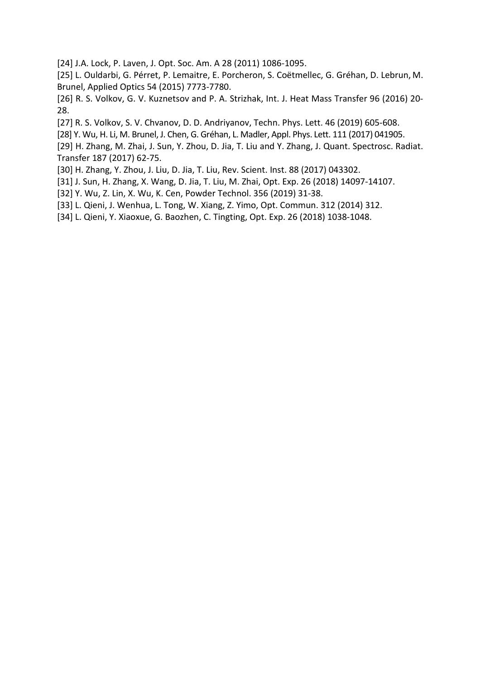[24] J.A. Lock, P. Laven, J. Opt. Soc. Am. A 28 (2011) 1086-1095.

[25] L. Ouldarbi, G. Pérret, P. Lemaitre, E. Porcheron, S. Coëtmellec, G. Gréhan, D. Lebrun, M. Brunel, Applied Optics 54 (2015) 7773-7780.

[26] R. S. Volkov, G. V. Kuznetsov and P. A. Strizhak, Int. J. Heat Mass Transfer 96 (2016) 20- 28.

[27] R. S. Volkov, S. V. Chvanov, D. D. Andriyanov, Techn. Phys. Lett. 46 (2019) 605-608.

[28] Y. Wu, H. Li, M. Brunel, J. Chen, G. Gréhan, L. Madler, Appl. Phys. Lett. 111 (2017) 041905.

[29] H. Zhang, M. Zhai, J. Sun, Y. Zhou, D. Jia, T. Liu and Y. Zhang, J. Quant. Spectrosc. Radiat. Transfer 187 (2017) 62-75.

[30] H. Zhang, Y. Zhou, J. Liu, D. Jia, T. Liu, Rev. Scient. Inst. 88 (2017) 043302.

[31] J. Sun, H. Zhang, X. Wang, D. Jia, T. Liu, M. Zhai, Opt. Exp. 26 (2018) 14097-14107.

[32] Y. Wu, Z. Lin, X. Wu, K. Cen, Powder Technol. 356 (2019) 31-38.

[33] L. Qieni, J. Wenhua, L. Tong, W. Xiang, Z. Yimo, Opt. Commun. 312 (2014) 312.

[34] L. Qieni, Y. Xiaoxue, G. Baozhen, C. Tingting, Opt. Exp. 26 (2018) 1038-1048.